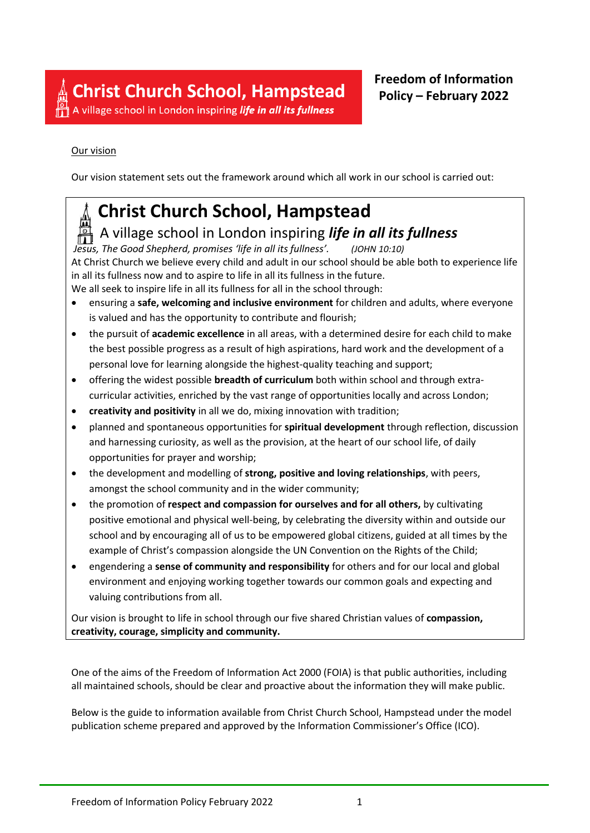A village school in London inspiring life in all its fullness

### Our vision

Our vision statement sets out the framework around which all work in our school is carried out:

# **Christ Church School, Hampstead**

## A village school in London inspiring *life in all its fullness*

*Jesus, The Good Shepherd, promises 'life in all its fullness'. (JOHN 10:10)* At Christ Church we believe every child and adult in our school should be able both to experience life in all its fullness now and to aspire to life in all its fullness in the future. We all seek to inspire life in all its fullness for all in the school through:

- ensuring a **safe, welcoming and inclusive environment** for children and adults, where everyone is valued and has the opportunity to contribute and flourish;
- the pursuit of **academic excellence** in all areas, with a determined desire for each child to make the best possible progress as a result of high aspirations, hard work and the development of a personal love for learning alongside the highest-quality teaching and support;
- offering the widest possible **breadth of curriculum** both within school and through extracurricular activities, enriched by the vast range of opportunities locally and across London;
- **creativity and positivity** in all we do, mixing innovation with tradition;
- planned and spontaneous opportunities for **spiritual development** through reflection, discussion and harnessing curiosity, as well as the provision, at the heart of our school life, of daily opportunities for prayer and worship;
- the development and modelling of **strong, positive and loving relationships**, with peers, amongst the school community and in the wider community;
- the promotion of **respect and compassion for ourselves and for all others,** by cultivating positive emotional and physical well-being, by celebrating the diversity within and outside our school and by encouraging all of us to be empowered global citizens, guided at all times by the example of Christ's compassion alongside the UN Convention on the Rights of the Child;
- engendering a **sense of community and responsibility** for others and for our local and global environment and enjoying working together towards our common goals and expecting and valuing contributions from all.

Our vision is brought to life in school through our five shared Christian values of **compassion, creativity, courage, simplicity and community.**

One of the aims of the Freedom of Information Act 2000 (FOIA) is that public authorities, including all maintained schools, should be clear and proactive about the information they will make public.

Below is the guide to information available from Christ Church School, Hampstead under the model publication scheme prepared and approved by the Information Commissioner's Office (ICO).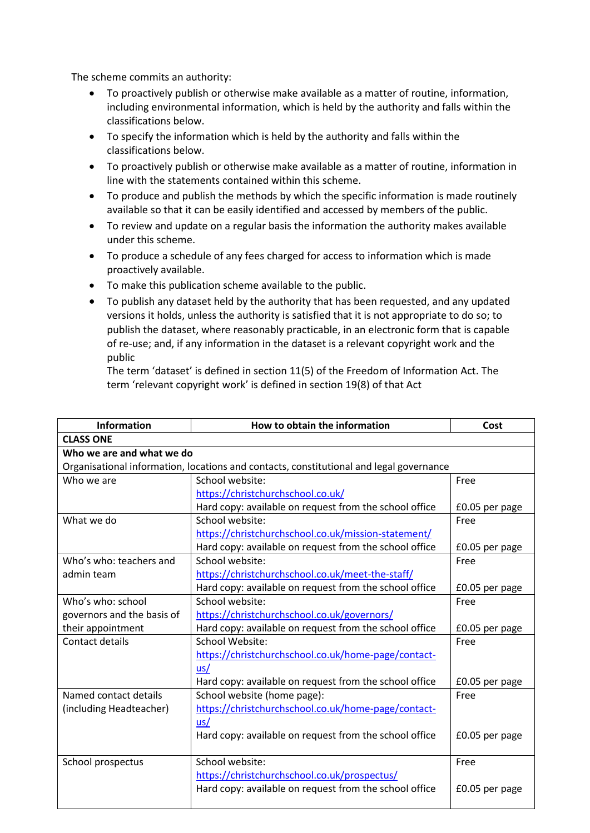The scheme commits an authority:

- To proactively publish or otherwise make available as a matter of routine, information, including environmental information, which is held by the authority and falls within the classifications below.
- To specify the information which is held by the authority and falls within the classifications below.
- To proactively publish or otherwise make available as a matter of routine, information in line with the statements contained within this scheme.
- To produce and publish the methods by which the specific information is made routinely available so that it can be easily identified and accessed by members of the public.
- To review and update on a regular basis the information the authority makes available under this scheme.
- To produce a schedule of any fees charged for access to information which is made proactively available.
- To make this publication scheme available to the public.
- To publish any dataset held by the authority that has been requested, and any updated versions it holds, unless the authority is satisfied that it is not appropriate to do so; to publish the dataset, where reasonably practicable, in an electronic form that is capable of re-use; and, if any information in the dataset is a relevant copyright work and the public

The term 'dataset' is defined in section 11(5) of the Freedom of Information Act. The term 'relevant copyright work' is defined in section 19(8) of that Act

| Information                | How to obtain the information                                                           | Cost           |
|----------------------------|-----------------------------------------------------------------------------------------|----------------|
| <b>CLASS ONE</b>           |                                                                                         |                |
| Who we are and what we do  |                                                                                         |                |
|                            | Organisational information, locations and contacts, constitutional and legal governance |                |
| Who we are                 | School website:                                                                         | Free           |
|                            | https://christchurchschool.co.uk/                                                       |                |
|                            | Hard copy: available on request from the school office                                  | £0.05 per page |
| What we do                 | School website:                                                                         | Free           |
|                            | https://christchurchschool.co.uk/mission-statement/                                     |                |
|                            | Hard copy: available on request from the school office                                  | £0.05 per page |
| Who's who: teachers and    | School website:                                                                         | Free           |
| admin team                 | https://christchurchschool.co.uk/meet-the-staff/                                        |                |
|                            | Hard copy: available on request from the school office                                  | £0.05 per page |
| Who's who: school          | School website:                                                                         | Free           |
| governors and the basis of | https://christchurchschool.co.uk/governors/                                             |                |
| their appointment          | Hard copy: available on request from the school office                                  | £0.05 per page |
| Contact details            | <b>School Website:</b>                                                                  | Free           |
|                            | https://christchurchschool.co.uk/home-page/contact-                                     |                |
|                            | us/                                                                                     |                |
|                            | Hard copy: available on request from the school office                                  | £0.05 per page |
| Named contact details      | School website (home page):                                                             | Free           |
| (including Headteacher)    | https://christchurchschool.co.uk/home-page/contact-                                     |                |
|                            | us/                                                                                     |                |
|                            | Hard copy: available on request from the school office                                  | £0.05 per page |
|                            |                                                                                         |                |
| School prospectus          | School website:                                                                         | Free           |
|                            | https://christchurchschool.co.uk/prospectus/                                            |                |
|                            | Hard copy: available on request from the school office                                  | £0.05 per page |
|                            |                                                                                         |                |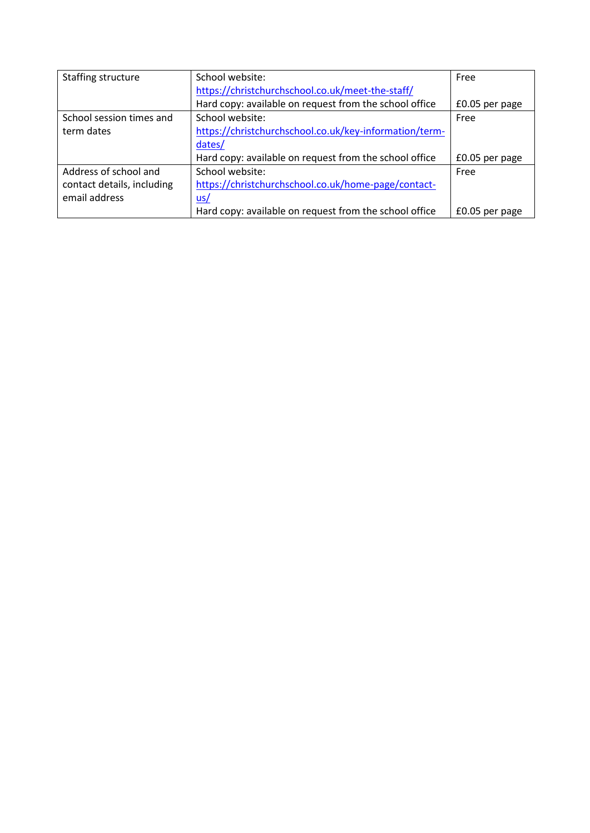| Staffing structure         | School website:                                        | Free           |
|----------------------------|--------------------------------------------------------|----------------|
|                            | https://christchurchschool.co.uk/meet-the-staff/       |                |
|                            | Hard copy: available on request from the school office | £0.05 per page |
| School session times and   | School website:                                        | Free           |
| term dates                 | https://christchurchschool.co.uk/key-information/term- |                |
|                            | dates/                                                 |                |
|                            | Hard copy: available on request from the school office | £0.05 per page |
| Address of school and      | School website:                                        | Free           |
| contact details, including | https://christchurchschool.co.uk/home-page/contact-    |                |
| email address              | $us/$                                                  |                |
|                            | Hard copy: available on request from the school office | £0.05 per page |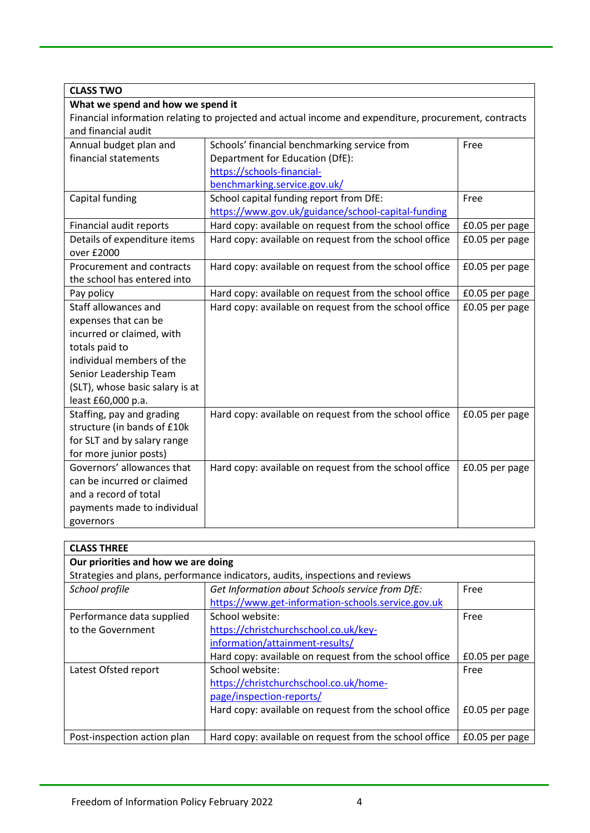| <b>CLASS TWO</b>                                                                                      |                                                        |                |
|-------------------------------------------------------------------------------------------------------|--------------------------------------------------------|----------------|
| What we spend and how we spend it                                                                     |                                                        |                |
| Financial information relating to projected and actual income and expenditure, procurement, contracts |                                                        |                |
| and financial audit                                                                                   |                                                        |                |
| Annual budget plan and                                                                                | Schools' financial benchmarking service from           | Free           |
| financial statements                                                                                  | Department for Education (DfE):                        |                |
|                                                                                                       | https://schools-financial-                             |                |
|                                                                                                       | benchmarking.service.gov.uk/                           |                |
| Capital funding                                                                                       | School capital funding report from DfE:                | Free           |
|                                                                                                       | https://www.gov.uk/guidance/school-capital-funding     |                |
| Financial audit reports                                                                               | Hard copy: available on request from the school office | £0.05 per page |
| Details of expenditure items                                                                          | Hard copy: available on request from the school office | £0.05 per page |
| over £2000                                                                                            |                                                        |                |
| Procurement and contracts                                                                             | Hard copy: available on request from the school office | £0.05 per page |
| the school has entered into                                                                           |                                                        |                |
| Pay policy                                                                                            | Hard copy: available on request from the school office | £0.05 per page |
| Staff allowances and                                                                                  | Hard copy: available on request from the school office | £0.05 per page |
| expenses that can be                                                                                  |                                                        |                |
| incurred or claimed, with                                                                             |                                                        |                |
| totals paid to                                                                                        |                                                        |                |
| individual members of the                                                                             |                                                        |                |
| Senior Leadership Team                                                                                |                                                        |                |
| (SLT), whose basic salary is at                                                                       |                                                        |                |
| least £60,000 p.a.                                                                                    |                                                        |                |
| Staffing, pay and grading                                                                             | Hard copy: available on request from the school office | £0.05 per page |
| structure (in bands of £10k                                                                           |                                                        |                |
| for SLT and by salary range                                                                           |                                                        |                |
| for more junior posts)                                                                                |                                                        |                |
| Governors' allowances that                                                                            | Hard copy: available on request from the school office | £0.05 per page |
| can be incurred or claimed                                                                            |                                                        |                |
| and a record of total                                                                                 |                                                        |                |
| payments made to individual                                                                           |                                                        |                |
| governors                                                                                             |                                                        |                |

| <b>CLASS THREE</b>                  |                                                                               |                |  |
|-------------------------------------|-------------------------------------------------------------------------------|----------------|--|
| Our priorities and how we are doing |                                                                               |                |  |
|                                     | Strategies and plans, performance indicators, audits, inspections and reviews |                |  |
| School profile                      | Get Information about Schools service from DfE:                               | Free           |  |
|                                     | https://www.get-information-schools.service.gov.uk                            |                |  |
| Performance data supplied           | School website:                                                               | Free           |  |
| to the Government                   | https://christchurchschool.co.uk/key-                                         |                |  |
|                                     | information/attainment-results/                                               |                |  |
|                                     | Hard copy: available on request from the school office                        | £0.05 per page |  |
| Latest Ofsted report                | School website:                                                               | Free           |  |
|                                     | https://christchurchschool.co.uk/home-                                        |                |  |
|                                     | page/inspection-reports/                                                      |                |  |
|                                     | Hard copy: available on request from the school office                        | £0.05 per page |  |
|                                     |                                                                               |                |  |
| Post-inspection action plan         | Hard copy: available on request from the school office                        | £0.05 per page |  |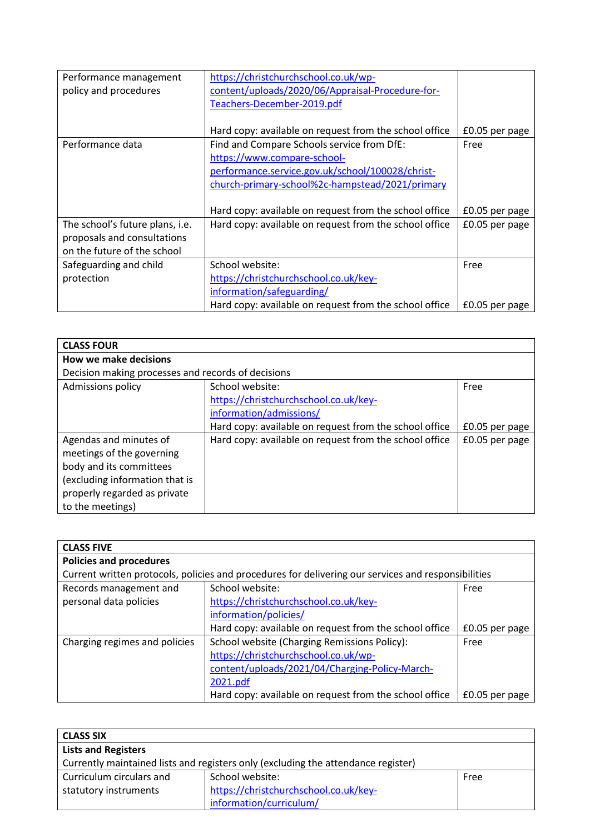| Performance management<br>policy and procedures | https://christchurchschool.co.uk/wp-<br>content/uploads/2020/06/Appraisal-Procedure-for-<br>Teachers-December-2019.pdf |                |
|-------------------------------------------------|------------------------------------------------------------------------------------------------------------------------|----------------|
|                                                 |                                                                                                                        |                |
|                                                 | Hard copy: available on request from the school office                                                                 | £0.05 per page |
| Performance data                                | Find and Compare Schools service from DfE:                                                                             | Free           |
|                                                 | https://www.compare-school-                                                                                            |                |
|                                                 | performance.service.gov.uk/school/100028/christ-                                                                       |                |
|                                                 | church-primary-school%2c-hampstead/2021/primary                                                                        |                |
|                                                 |                                                                                                                        |                |
|                                                 | Hard copy: available on request from the school office                                                                 | £0.05 per page |
| The school's future plans, i.e.                 | Hard copy: available on request from the school office                                                                 | £0.05 per page |
| proposals and consultations                     |                                                                                                                        |                |
| on the future of the school                     |                                                                                                                        |                |
| Safeguarding and child                          | School website:                                                                                                        | Free           |
| protection                                      | https://christchurchschool.co.uk/key-                                                                                  |                |
|                                                 | information/safeguarding/                                                                                              |                |
|                                                 | Hard copy: available on request from the school office                                                                 | £0.05 per page |

| <b>CLASS FOUR</b>                                  |                                                        |                |
|----------------------------------------------------|--------------------------------------------------------|----------------|
| <b>How we make decisions</b>                       |                                                        |                |
| Decision making processes and records of decisions |                                                        |                |
| Admissions policy                                  | School website:                                        | Free           |
|                                                    | https://christchurchschool.co.uk/key-                  |                |
|                                                    | information/admissions/                                |                |
|                                                    | Hard copy: available on request from the school office | £0.05 per page |
| Agendas and minutes of                             | Hard copy: available on request from the school office | £0.05 per page |
| meetings of the governing                          |                                                        |                |
| body and its committees                            |                                                        |                |
| (excluding information that is                     |                                                        |                |
| properly regarded as private                       |                                                        |                |
| to the meetings)                                   |                                                        |                |

| <b>CLASS FIVE</b>              |                                                                                                     |                |
|--------------------------------|-----------------------------------------------------------------------------------------------------|----------------|
| <b>Policies and procedures</b> |                                                                                                     |                |
|                                | Current written protocols, policies and procedures for delivering our services and responsibilities |                |
| Records management and         | School website:                                                                                     | Free           |
| personal data policies         | https://christchurchschool.co.uk/key-                                                               |                |
|                                | information/policies/                                                                               |                |
|                                | Hard copy: available on request from the school office                                              | £0.05 per page |
| Charging regimes and policies  | School website (Charging Remissions Policy):                                                        | Free           |
|                                | https://christchurchschool.co.uk/wp-                                                                |                |
|                                | content/uploads/2021/04/Charging-Policy-March-                                                      |                |
|                                | 2021.pdf                                                                                            |                |
|                                | Hard copy: available on request from the school office                                              | £0.05 per page |

| <b>CLASS SIX</b>                                                                  |                                       |      |
|-----------------------------------------------------------------------------------|---------------------------------------|------|
| <b>Lists and Registers</b>                                                        |                                       |      |
| Currently maintained lists and registers only (excluding the attendance register) |                                       |      |
| Curriculum circulars and                                                          | School website:                       | Free |
| statutory instruments                                                             | https://christchurchschool.co.uk/key- |      |
|                                                                                   | information/curriculum/               |      |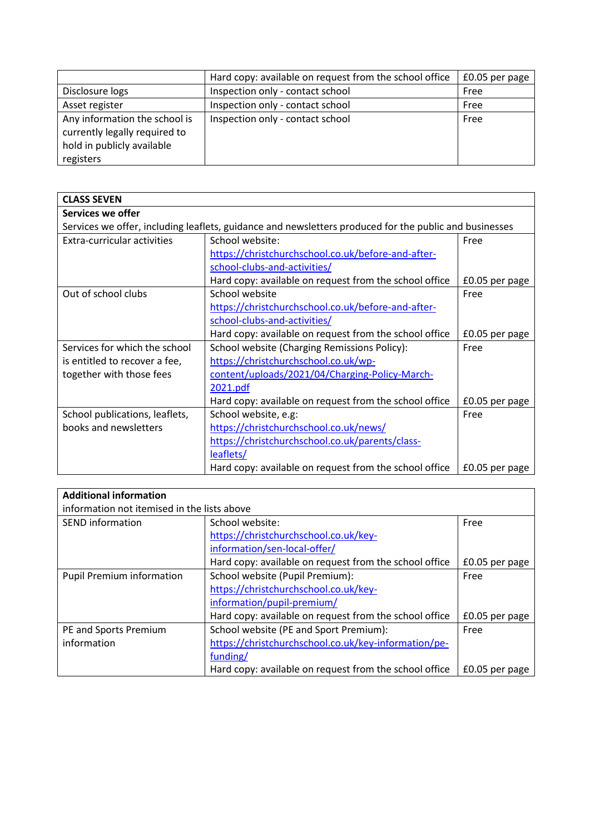|                               | Hard copy: available on request from the school office | £0.05 per page |
|-------------------------------|--------------------------------------------------------|----------------|
| Disclosure logs               | Inspection only - contact school                       | Free           |
| Asset register                | Inspection only - contact school                       | Free           |
| Any information the school is | Inspection only - contact school                       | Free           |
| currently legally required to |                                                        |                |
| hold in publicly available    |                                                        |                |
| registers                     |                                                        |                |

| <b>CLASS SEVEN</b>             |                                                                                                        |                |
|--------------------------------|--------------------------------------------------------------------------------------------------------|----------------|
| Services we offer              |                                                                                                        |                |
|                                | Services we offer, including leaflets, guidance and newsletters produced for the public and businesses |                |
| Extra-curricular activities    | School website:                                                                                        | Free           |
|                                | https://christchurchschool.co.uk/before-and-after-                                                     |                |
|                                | school-clubs-and-activities/                                                                           |                |
|                                | Hard copy: available on request from the school office                                                 | £0.05 per page |
| Out of school clubs            | School website                                                                                         | Free           |
|                                | https://christchurchschool.co.uk/before-and-after-                                                     |                |
|                                | school-clubs-and-activities/                                                                           |                |
|                                | Hard copy: available on request from the school office                                                 | £0.05 per page |
| Services for which the school  | School website (Charging Remissions Policy):                                                           | Free           |
| is entitled to recover a fee,  | https://christchurchschool.co.uk/wp-                                                                   |                |
| together with those fees       | content/uploads/2021/04/Charging-Policy-March-                                                         |                |
|                                | 2021.pdf                                                                                               |                |
|                                | Hard copy: available on request from the school office                                                 | £0.05 per page |
| School publications, leaflets, | School website, e.g:                                                                                   | Free           |
| books and newsletters          | https://christchurchschool.co.uk/news/                                                                 |                |
|                                | https://christchurchschool.co.uk/parents/class-                                                        |                |
|                                | leaflets/                                                                                              |                |
|                                | Hard copy: available on request from the school office                                                 | £0.05 per page |

| <b>Additional information</b>               |                                                        |                |  |
|---------------------------------------------|--------------------------------------------------------|----------------|--|
| information not itemised in the lists above |                                                        |                |  |
| <b>SEND</b> information                     | School website:                                        | Free           |  |
|                                             | https://christchurchschool.co.uk/key-                  |                |  |
|                                             | information/sen-local-offer/                           |                |  |
|                                             | Hard copy: available on request from the school office | £0.05 per page |  |
| <b>Pupil Premium information</b>            | School website (Pupil Premium):                        | Free           |  |
|                                             | https://christchurchschool.co.uk/key-                  |                |  |
|                                             | information/pupil-premium/                             |                |  |
|                                             | Hard copy: available on request from the school office | £0.05 per page |  |
| PE and Sports Premium                       | School website (PE and Sport Premium):                 | Free           |  |
| information                                 | https://christchurchschool.co.uk/key-information/pe-   |                |  |
|                                             | funding/                                               |                |  |
|                                             | Hard copy: available on request from the school office | £0.05 per page |  |